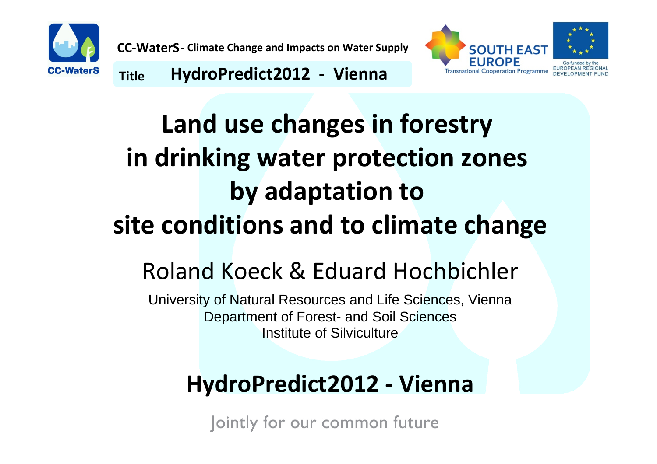



**TitleHydroPredict2012 ‐ Vienna**

# **Land use changes in forestry in drinking water protection zones by adaptation to site conditions and to climate change** Roland Koeck & Eduard Hochbichler

University of Natural Resources and Life Sciences, Vienna Department of Forest- and Soil Sciences Institute of Silviculture

## **HydroPredict2012 ‐ Vienna**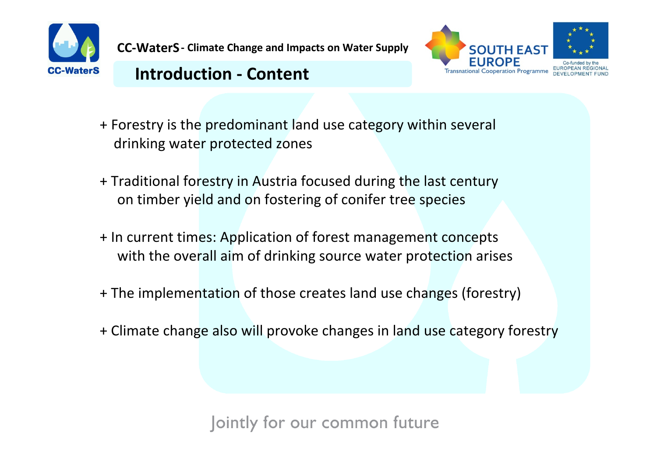



#### **Introduction - Content**

- + Forestry is the predominant land use category within several drinking water protected zones
- + Traditional forestry in Austria focused during the last century on timber yield and on fostering of conifer tree species
- + In current times: Application of forest management concepts with the overall aim of drinking source water protection arises
- + The implementation of those creates land use changes (forestry)
- + Climate change also will provoke changes in land use category forestry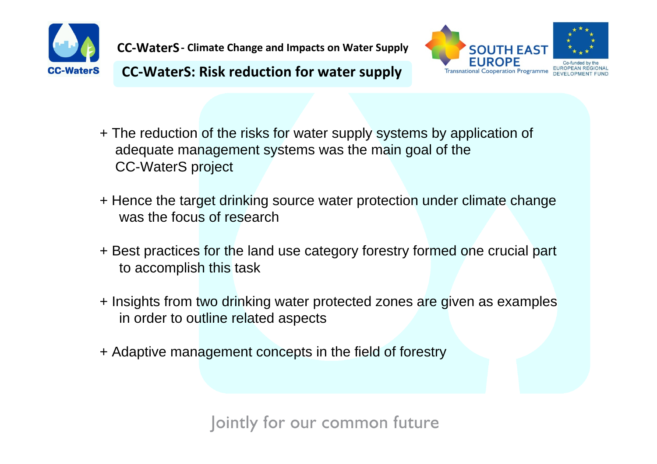



**Title CC‐WaterS: Risk reduction for water supply**

- + The reduction of the risks for water supply systems by application of adequate management systems was the main goal of the CC-WaterS project
- + Hence the target drinking source water protection under climate change was the focus of research
- + Best practices for the land use category forestry formed one crucial part to accomplish this task
- + Insights from two drinking water protected zones are given as examples in order to outline related aspects
- + Adaptive management concepts in the field of forestry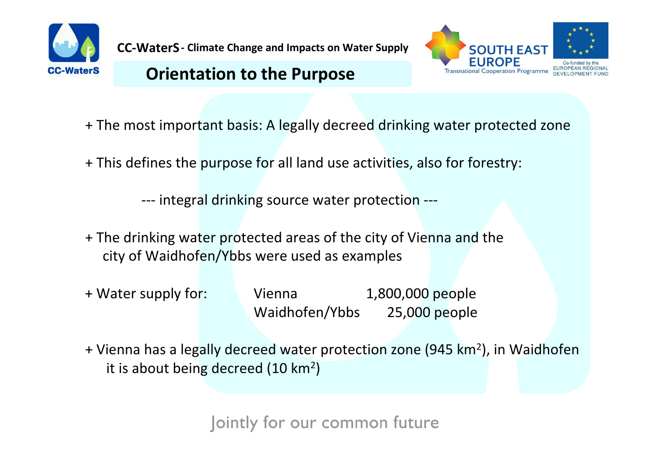

#### **Orientation to the Purpose**



- + The most important basis: A legally decreed drinking water protected zone
- + This defines the purpose for all land use activities, also for forestry:

‐‐‐ integral drinking source water protection ‐‐‐

- + The drinking water protected areas of the city of Vienna and the city of Waidhofen/Ybbs were used as examples
- + Water supply for: Vienna 1,800,000 people Waidhofen/Ybbs 25,000 people
- + Vienna has a legally decreed water protection zone (945 km<sup>2</sup>), in Waidhofen it is about being decreed (10 km<sup>2</sup>)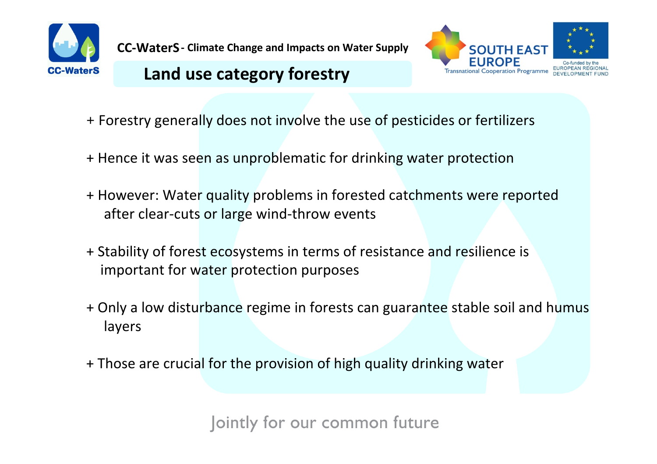

## **Land** use category forestry



- <sup>+</sup>Forestry generally does not involve the use of pesticides or fertilizers
- + Hence it was seen as unproblematic for drinking water protection
- + However: Water quality problems in forested catchments were reported after clear‐cuts or large wind‐throw events
- + Stability of forest ecosystems in terms of resistance and resilience is important for water protection purposes
- + Only <sup>a</sup> low disturbance regime in forests can guarantee stable soil and humus layers
- + Those are crucial for the provision of high quality drinking water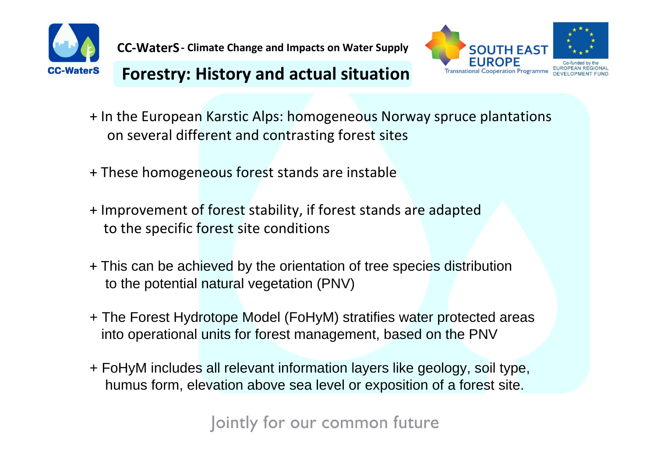



## **Forestry: History and actual situation**

- + In the European Karstic Alps: homogeneous Norway spruce plantations on several different and contrasting forest sites
- + These homogeneous forest stands are instable
- + Improvement of forest stability, if forest stands are adapted to the specific forest site conditions
- + This can be achieved by the orientation of tree species distribution to the potential natural vegetation (PNV)
- + The Forest Hydrotope Model (FoHyM) stratifies water protected areas into operational units for forest management, based on the PNV
- + FoHyM includes all relevant information layers like geology, soil type, humus form, elevation above sea level or exposition of a forest site.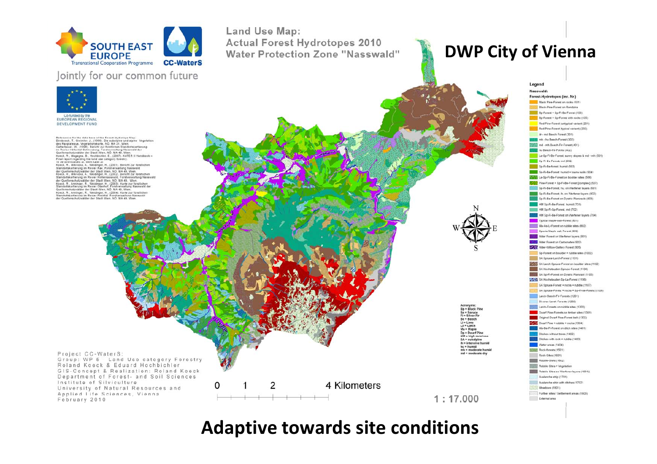

#### **r** common future



Potences for the data hase of the Forest Hudratone May numeroces to the one and control of the subalpine und alpine Vegetation<br>des Raxplateaus, Vegetationskarte, NO. MA 31, Wien.<br>Gatterbauer, W., (1998). Bericht zur forstlichen Standortskartierung um Residentische Golienterischer Premierenseitung alternativering<br>Goldenseitungsder der Stadt Wen, NO. MA 49. Wenner<br>Goldenseitungsder der Stadt Wen, NO. MA 49. Wenner<br>Koock, R. Magagna. B., Hochbielter, E., (2007). KATER standurteskarinerung im Keiver Kax, Porsververslung rasswurd<br>der Quellenschultzwälder der Stadt Wien, NO. MA 49, Wien.<br>Koeck, R., Mtwivcka, A., Weidinger, R., (2002). Beircht zur torstlichen<br>Standortskartierung im Revier H .<br>Koeck, R., Anninger, R., Weidinger, H., (2003). Karte zur forstlichen<br>Standortskartierung im Revier Oberhof, Forstverwaltung Nasswald de Quellenschutzwälder der Stadt Wien, NO. MA 49. Wien Standard Maringer, R., Weldinger, H., (2004). Karte zur forstlichen<br>Standartskartierung im Revier Preintal. Forstverwaltung Nasswald<br>der Quellenschutzwälder der Stadt Wien, NÖ. MA 49. Wien.

Project CC-WaterS:

February 2010

Institute of Silviculture

Group: WP 5 - Land Use category Forestry

GIS-Concept & Realization: Roland Koeck

0

Department of Forest- and Soil Sciences

Roland Koeck & Eduard Hochbichler

University of Natural Resources and

Applied Life Sciences, Vienna

Land Use Map: **COUTH EAST CONTINUES Actual Forest Hydrotopes 2010<br>
Water Protection Zone "Nasswald"** 

#### **DWP City of Vienna**

Legend Nasswald: Forest-Hydrotopes (inc. Nr.) Black Pine-Forest on rocks (101)



Acronyms:<br>Bp = Black Pine Sp = Spruce<br>Fi = Silver Fir Be - Beech Li = Lime<br>La = Larch<br>Ma = Maple Dp = Dwarf Pine<br>HM = high monta  $SA = subaloline$ ih = intensive humid hu = humid<br>mh = moderate humid md = moderate dry

 $1:17.000$ 



#### **Adaptive towards site conditions**

4 Kilometers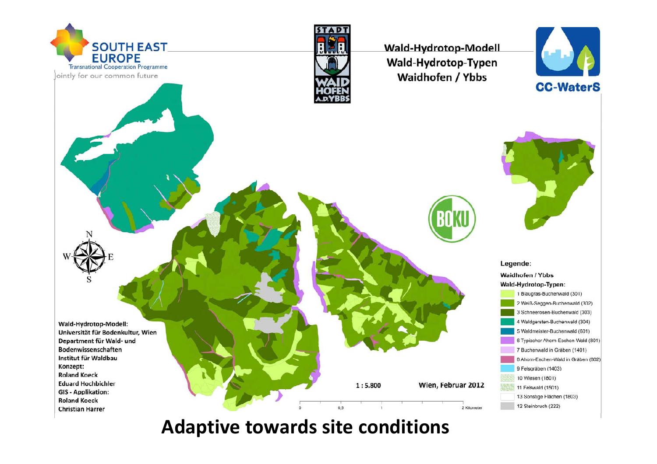

**Adaptive towards site conditions**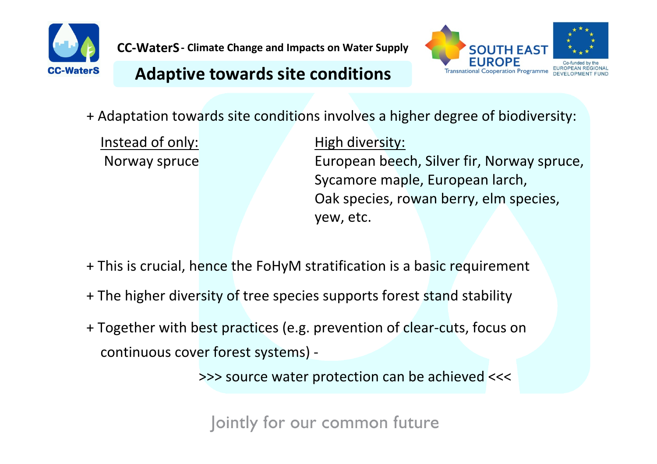



#### **TitleAdaptive towards site conditions**

+ Adaptation towards site conditions involves <sup>a</sup> higher degree of biodiversity:

Instead of only:

High diversity: Norway spruce **European beech, Silver fir, Norway spruce,** Sycamore maple, European larch, Oak species, rowan berry, elm species, yew, etc.

+ This is crucial, hence the FoHyM stratification is <sup>a</sup> basic requirement

- + The higher diversity of tree species supports forest stand stability
- + Together with best practices (e.g. prevention of clear‐cuts, focus on continuous cover forest systems) ‐

>>> source water protection can be achieved <<<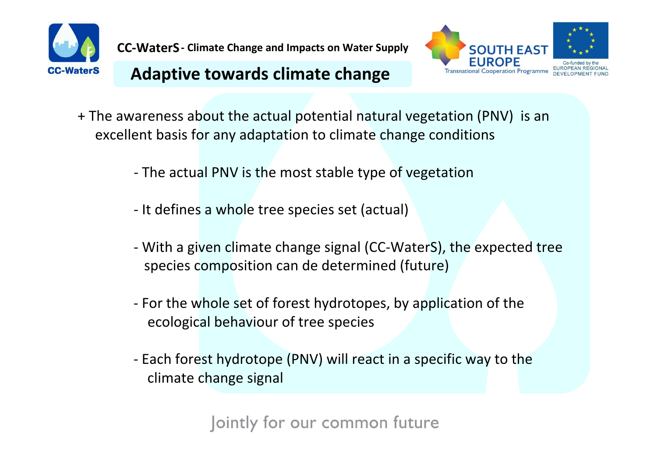



#### **TitleAdaptive towards climate change**

- + The awareness about the actual potential natural vegetation (PNV) is an excellent basis for any adaptation to climate change conditions
	- ‐ The actual PNV is the most stable type of vegetation
	- ‐ It defines a whole tree species set (actual)
	- ‐ With <sup>a</sup> given climate change signal (CC‐WaterS), the expected tree species composition can de determined (future)
	- ‐ For the whole set of forest hydrotopes, by application of the ecological behaviour of tree species
	- ‐ Each forest hydrotope (PNV) will react in <sup>a</sup> specific way to the climate change signal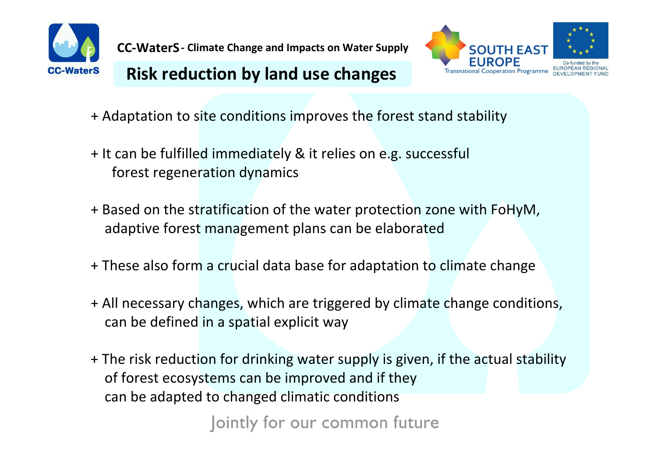



#### **Risk reduction by land use changes**

- + Adaptation to site conditions improves the forest stand stability
- + It can be fulfilled immediately & it relies on e.g. successful forest regeneration dynamics
- + Based on the stratification of the water protection zone with FoHyM, adaptive forest management plans can be elaborated
- + These also form <sup>a</sup> crucial data base for adaptation to climate change
- + All necessary changes, which are triggered by climate change conditions, can be defined in <sup>a</sup> spatial explicit way
- + The risk reduction for drinking water supply is given, if the actual stability of forest ecosystems can be improved and if they can be adapted to changed climatic conditions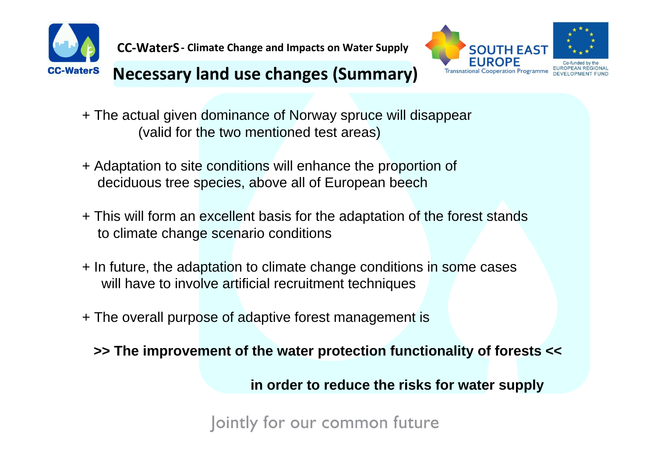

#### **SOUTH EAST EUROPE Transnational Cooperation Programme**



## **Necessary land use changes (Summary)**

- + The actual given dominance of Norway spruce will disappear (valid for the two mentioned test areas)
- + Adaptation to site conditions will enhance the proportion of deciduous tree species, above all of European beech
- + This will form an excellent basis for the adaptation of the forest stands to climate change scenario conditions
- + In future, the adaptation to climate change conditions in some cases will have to involve artificial recruitment techniques
- + The overall purpose of adaptive forest management is

**>> The improvement of the water protection functionality of forests <<**

**in order to reduce the risks for water supply**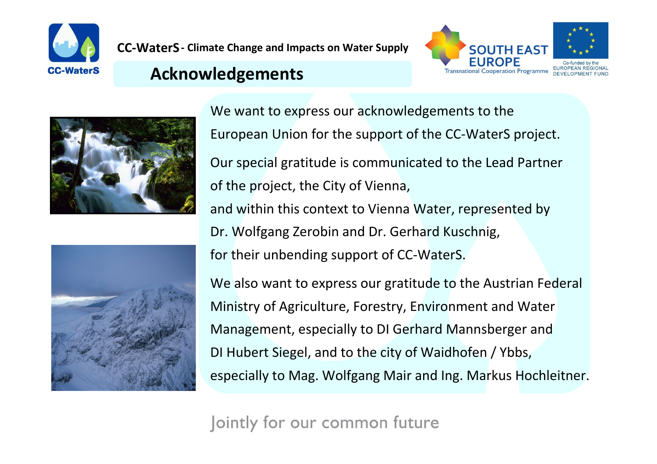



#### **Acknowledgements**





We want to express our acknowledgements to the European Union for the support of the CC‐WaterS project. Our special gratitude is communicated to the Lead Partner of the project, the City of Vienna, and within this context to Vienna Water, represented by Dr. Wolfgang Zerobin and Dr. Gerhard Kuschnig, for their unbending support of CC‐WaterS. We also want to express our gratitude to the Austrian Federal Ministry of Agriculture, Forestry, Environment and Water Management, especially to DI Gerhard Mannsberger and DI Hubert Siegel, and to the city of Waidhofen / Ybbs,

especially to Mag. Wolfgang Mair and Ing. Markus Hochleitner.